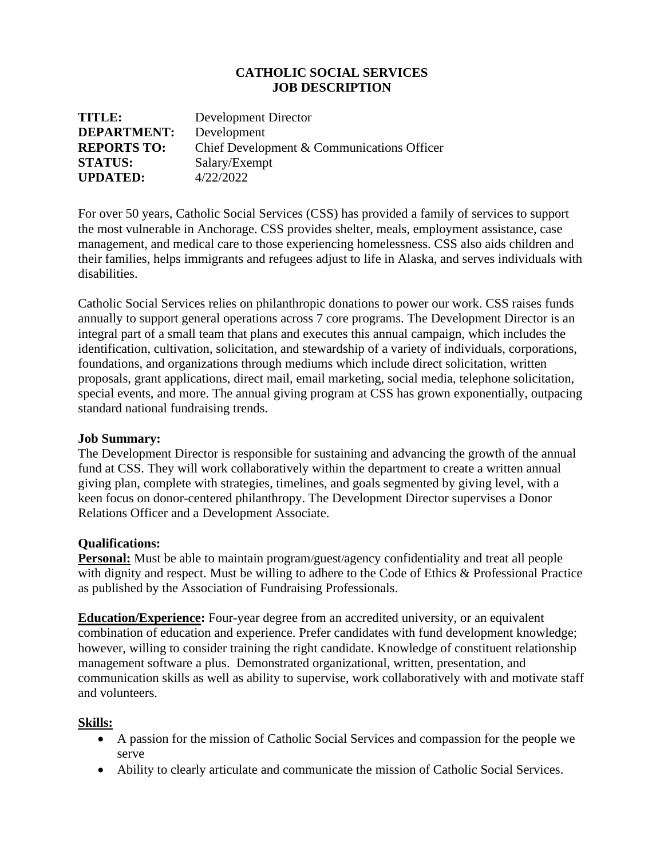## **CATHOLIC SOCIAL SERVICES JOB DESCRIPTION**

| TITLE:             | Development Director                       |
|--------------------|--------------------------------------------|
| <b>DEPARTMENT:</b> | Development                                |
| <b>REPORTS TO:</b> | Chief Development & Communications Officer |
| <b>STATUS:</b>     | Salary/Exempt                              |
| <b>UPDATED:</b>    | 4/22/2022                                  |

For over 50 years, Catholic Social Services (CSS) has provided a family of services to support the most vulnerable in Anchorage. CSS provides shelter, meals, employment assistance, case management, and medical care to those experiencing homelessness. CSS also aids children and their families, helps immigrants and refugees adjust to life in Alaska, and serves individuals with disabilities.

Catholic Social Services relies on philanthropic donations to power our work. CSS raises funds annually to support general operations across 7 core programs. The Development Director is an integral part of a small team that plans and executes this annual campaign, which includes the identification, cultivation, solicitation, and stewardship of a variety of individuals, corporations, foundations, and organizations through mediums which include direct solicitation, written proposals, grant applications, direct mail, email marketing, social media, telephone solicitation, special events, and more. The annual giving program at CSS has grown exponentially, outpacing standard national fundraising trends.

#### **Job Summary:**

The Development Director is responsible for sustaining and advancing the growth of the annual fund at CSS. They will work collaboratively within the department to create a written annual giving plan, complete with strategies, timelines, and goals segmented by giving level, with a keen focus on donor-centered philanthropy. The Development Director supervises a Donor Relations Officer and a Development Associate.

#### **Qualifications:**

**Personal:** Must be able to maintain program/guest/agency confidentiality and treat all people with dignity and respect. Must be willing to adhere to the Code of Ethics & Professional Practice as published by the Association of Fundraising Professionals.

**Education/Experience:** Four-year degree from an accredited university, or an equivalent combination of education and experience. Prefer candidates with fund development knowledge; however, willing to consider training the right candidate. Knowledge of constituent relationship management software a plus. Demonstrated organizational, written, presentation, and communication skills as well as ability to supervise, work collaboratively with and motivate staff and volunteers.

## **Skills:**

- A passion for the mission of Catholic Social Services and compassion for the people we serve
- Ability to clearly articulate and communicate the mission of Catholic Social Services.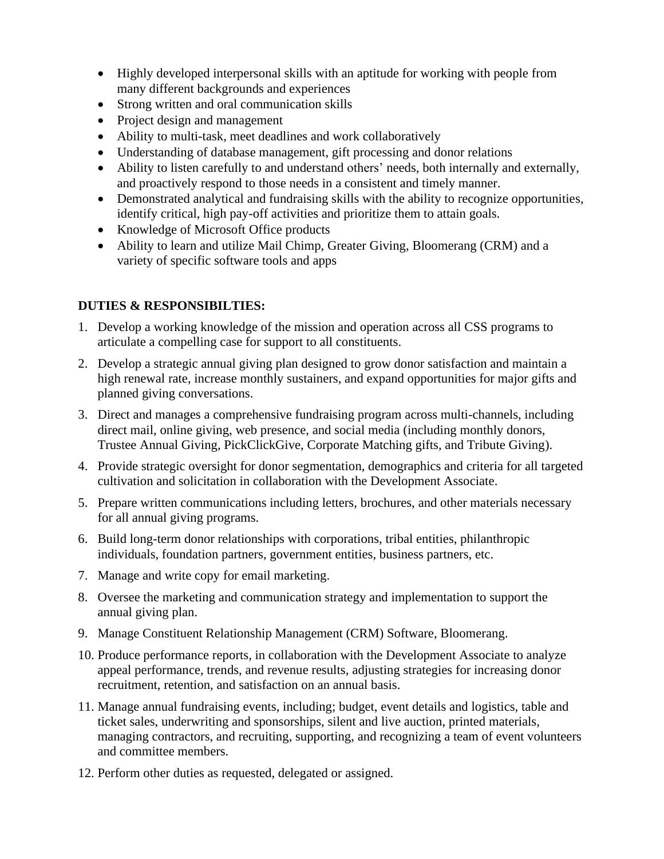- Highly developed interpersonal skills with an aptitude for working with people from many different backgrounds and experiences
- Strong written and oral communication skills
- Project design and management
- Ability to multi-task, meet deadlines and work collaboratively
- Understanding of database management, gift processing and donor relations
- Ability to listen carefully to and understand others' needs, both internally and externally, and proactively respond to those needs in a consistent and timely manner.
- Demonstrated analytical and fundraising skills with the ability to recognize opportunities, identify critical, high pay-off activities and prioritize them to attain goals.
- Knowledge of Microsoft Office products
- Ability to learn and utilize Mail Chimp, Greater Giving, Bloomerang (CRM) and a variety of specific software tools and apps

# **DUTIES & RESPONSIBILTIES:**

- 1. Develop a working knowledge of the mission and operation across all CSS programs to articulate a compelling case for support to all constituents.
- 2. Develop a strategic annual giving plan designed to grow donor satisfaction and maintain a high renewal rate, increase monthly sustainers, and expand opportunities for major gifts and planned giving conversations.
- 3. Direct and manages a comprehensive fundraising program across multi-channels, including direct mail, online giving, web presence, and social media (including monthly donors, Trustee Annual Giving, PickClickGive, Corporate Matching gifts, and Tribute Giving).
- 4. Provide strategic oversight for donor segmentation, demographics and criteria for all targeted cultivation and solicitation in collaboration with the Development Associate.
- 5. Prepare written communications including letters, brochures, and other materials necessary for all annual giving programs.
- 6. Build long-term donor relationships with corporations, tribal entities, philanthropic individuals, foundation partners, government entities, business partners, etc.
- 7. Manage and write copy for email marketing.
- 8. Oversee the marketing and communication strategy and implementation to support the annual giving plan.
- 9. Manage Constituent Relationship Management (CRM) Software, Bloomerang.
- 10. Produce performance reports, in collaboration with the Development Associate to analyze appeal performance, trends, and revenue results, adjusting strategies for increasing donor recruitment, retention, and satisfaction on an annual basis.
- 11. Manage annual fundraising events, including; budget, event details and logistics, table and ticket sales, underwriting and sponsorships, silent and live auction, printed materials, managing contractors, and recruiting, supporting, and recognizing a team of event volunteers and committee members.
- 12. Perform other duties as requested, delegated or assigned.